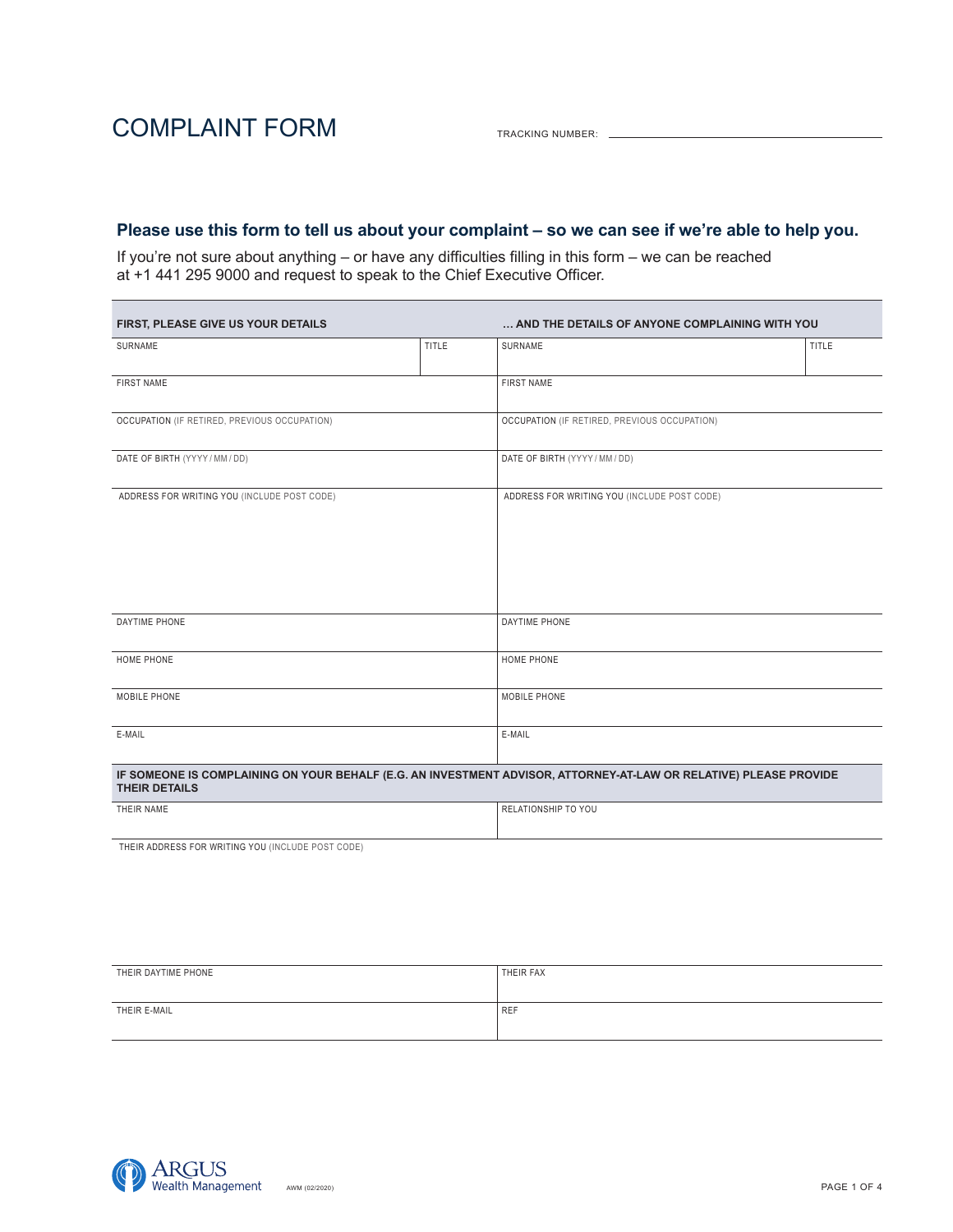TRACKING NUMBER:

### **Please use this form to tell us about your complaint – so we can see if we're able to help you.**

If you're not sure about anything – or have any difficulties filling in this form – we can be reached at +1 441 295 9000 and request to speak to the Chief Executive Officer.

| FIRST, PLEASE GIVE US YOUR DETAILS                                                                                                        |              | AND THE DETAILS OF ANYONE COMPLAINING WITH YOU |              |  |
|-------------------------------------------------------------------------------------------------------------------------------------------|--------------|------------------------------------------------|--------------|--|
| SURNAME                                                                                                                                   | <b>TITLE</b> | SURNAME                                        | <b>TITLE</b> |  |
| <b>FIRST NAME</b>                                                                                                                         |              | <b>FIRST NAME</b>                              |              |  |
| OCCUPATION (IF RETIRED, PREVIOUS OCCUPATION)                                                                                              |              | OCCUPATION (IF RETIRED, PREVIOUS OCCUPATION)   |              |  |
| DATE OF BIRTH (YYYY / MM / DD)                                                                                                            |              | DATE OF BIRTH (YYYY / MM / DD)                 |              |  |
| ADDRESS FOR WRITING YOU (INCLUDE POST CODE)                                                                                               |              | ADDRESS FOR WRITING YOU (INCLUDE POST CODE)    |              |  |
| DAYTIME PHONE                                                                                                                             |              | DAYTIME PHONE                                  |              |  |
| <b>HOME PHONE</b>                                                                                                                         |              | HOME PHONE                                     |              |  |
| MOBILE PHONE                                                                                                                              |              | MOBILE PHONE                                   |              |  |
| E-MAIL                                                                                                                                    |              | E-MAIL                                         |              |  |
| IF SOMEONE IS COMPLAINING ON YOUR BEHALF (E.G. AN INVESTMENT ADVISOR, ATTORNEY-AT-LAW OR RELATIVE) PLEASE PROVIDE<br><b>THEIR DETAILS</b> |              |                                                |              |  |
| THEIR NAME                                                                                                                                |              | RELATIONSHIP TO YOU                            |              |  |

THEIR ADDRESS FOR WRITING YOU (INCLUDE POST CODE)

| THEIR DAYTIME PHONE | THEIR FAX  |
|---------------------|------------|
| THEIR E-MAIL        | <b>REF</b> |
|                     |            |

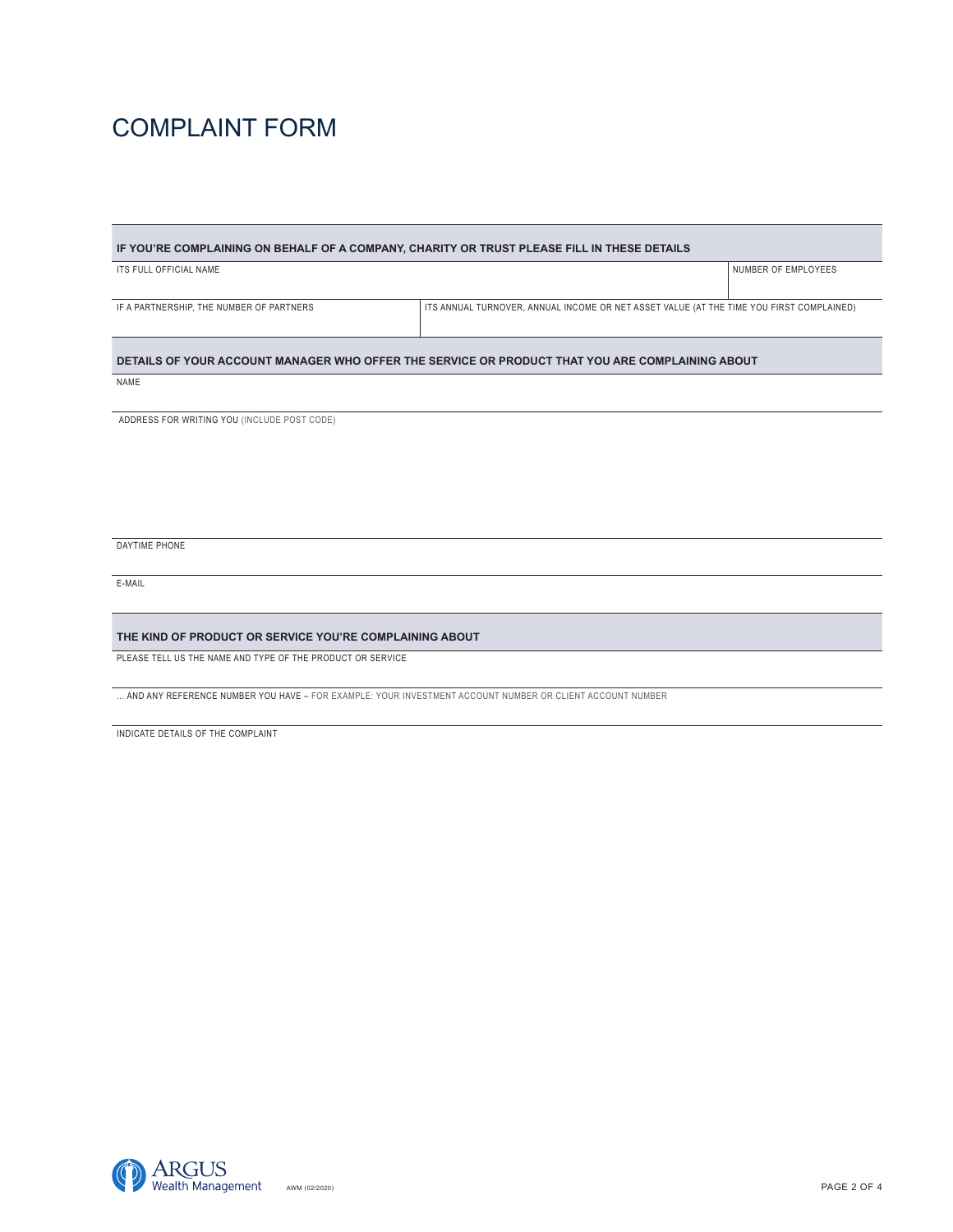# COMPLAINT FORM

| IF YOU'RE COMPLAINING ON BEHALF OF A COMPANY, CHARITY OR TRUST PLEASE FILL IN THESE DETAILS     |                                                                                          |                     |  |  |
|-------------------------------------------------------------------------------------------------|------------------------------------------------------------------------------------------|---------------------|--|--|
| ITS FULL OFFICIAL NAME                                                                          |                                                                                          | NUMBER OF EMPLOYEES |  |  |
|                                                                                                 |                                                                                          |                     |  |  |
| IF A PARTNERSHIP, THE NUMBER OF PARTNERS                                                        | ITS ANNUAL TURNOVER, ANNUAL INCOME OR NET ASSET VALUE (AT THE TIME YOU FIRST COMPLAINED) |                     |  |  |
| DETAILS OF YOUR ACCOUNT MANAGER WHO OFFER THE SERVICE OR PRODUCT THAT YOU ARE COMPLAINING ABOUT |                                                                                          |                     |  |  |
| NAME                                                                                            |                                                                                          |                     |  |  |

ADDRESS FOR WRITING YOU (INCLUDE POST CODE)

DAYTIME PHONE

E-MAIL

#### **THE KIND OF PRODUCT OR SERVICE YOU'RE COMPLAINING ABOUT**

PLEASE TELL US THE NAME AND TYPE OF THE PRODUCT OR SERVICE

… AND ANY REFERENCE NUMBER YOU HAVE – FOR EXAMPLE: YOUR INVESTMENT ACCOUNT NUMBER OR CLIENT ACCOUNT NUMBER

INDICATE DETAILS OF THE COMPLAINT

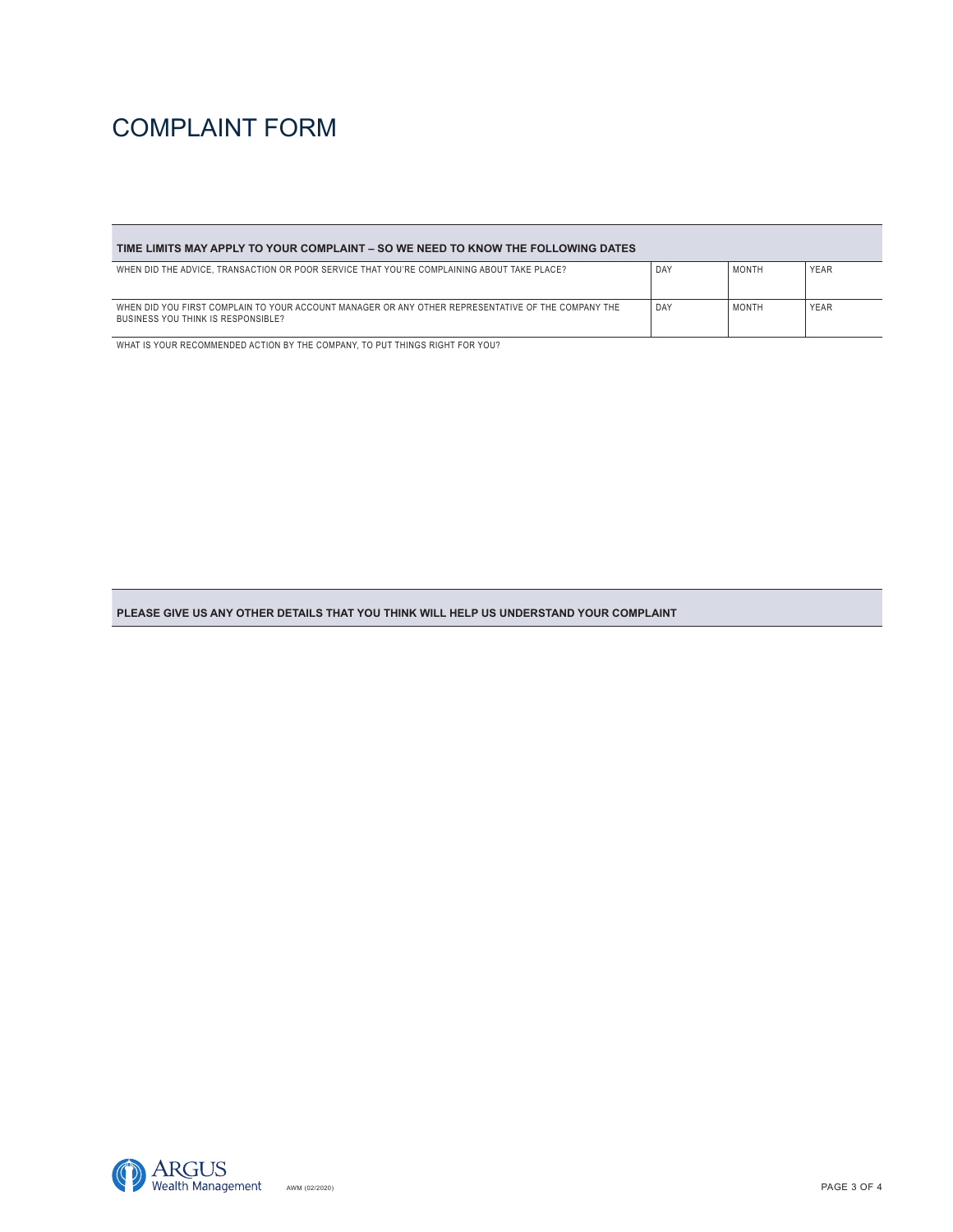# COMPLAINT FORM

| TIME LIMITS MAY APPLY TO YOUR COMPLAINT – SO WE NEED TO KNOW THE FOLLOWING DATES                                                         |     |              |             |  |
|------------------------------------------------------------------------------------------------------------------------------------------|-----|--------------|-------------|--|
| WHEN DID THE ADVICE. TRANSACTION OR POOR SERVICE THAT YOU'RE COMPLAINING ABOUT TAKE PLACE?                                               | DAY | <b>MONTH</b> | <b>YEAR</b> |  |
| WHEN DID YOU FIRST COMPLAIN TO YOUR ACCOUNT MANAGER OR ANY OTHER REPRESENTATIVE OF THE COMPANY THE<br>BUSINESS YOU THINK IS RESPONSIBLE? | DAY | <b>MONTH</b> | <b>YEAR</b> |  |

WHAT IS YOUR RECOMMENDED ACTION BY THE COMPANY, TO PUT THINGS RIGHT FOR YOU?

**PLEASE GIVE US ANY OTHER DETAILS THAT YOU THINK WILL HELP US UNDERSTAND YOUR COMPLAINT**